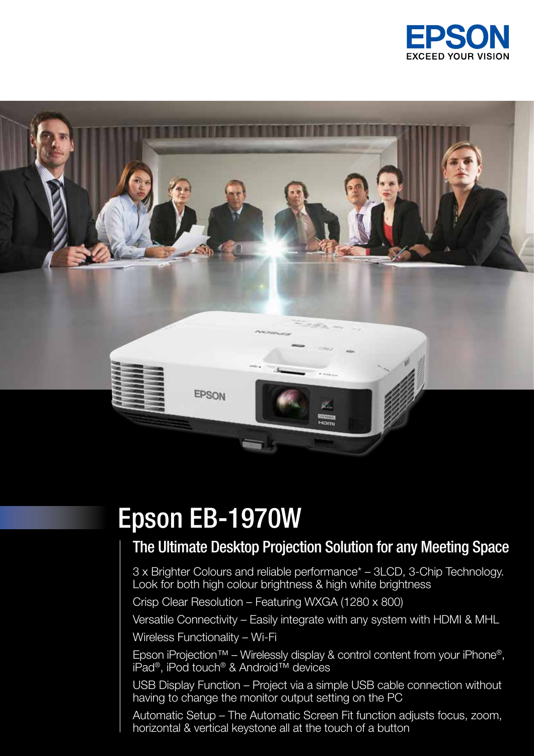



### Epson EB-1970W

### The Ultimate Desktop Projection Solution for any Meeting Space

3 x Brighter Colours and reliable performance\* – 3LCD, 3-Chip Technology. Look for both high colour brightness & high white brightness

Crisp Clear Resolution – Featuring WXGA (1280 x 800)

Versatile Connectivity – Easily integrate with any system with HDMI & MHL

Wireless Functionality – Wi-Fi

Epson iProjection™ – Wirelessly display & control content from your iPhone<sup>®</sup>, iPad®, iPod touch® & Android™ devices

USB Display Function – Project via a simple USB cable connection without having to change the monitor output setting on the PC

Automatic Setup – The Automatic Screen Fit function adjusts focus, zoom, horizontal & vertical keystone all at the touch of a button